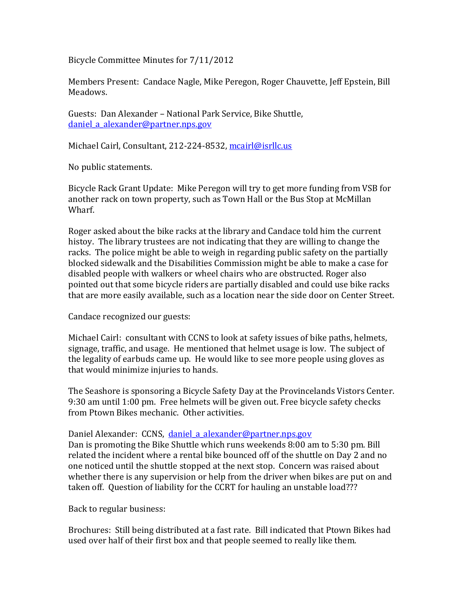Bicycle Committee Minutes for 7/11/2012

Members Present: Candace Nagle, Mike Peregon, Roger Chauvette, Jeff Epstein, Bill Meadows.

Guests: Dan Alexander – National Park Service, Bike Shuttle, daniel a alexander@partner.nps.gov

Michael Cairl, Consultant, 212-224-8532, mcairl@isrllc.us

No public statements.

Bicycle Rack Grant Update: Mike Peregon will try to get more funding from VSB for another rack on town property, such as Town Hall or the Bus Stop at McMillan Wharf.

Roger asked about the bike racks at the library and Candace told him the current histoy. The library trustees are not indicating that they are willing to change the racks. The police might be able to weigh in regarding public safety on the partially blocked sidewalk and the Disabilities Commission might be able to make a case for disabled people with walkers or wheel chairs who are obstructed. Roger also pointed out that some bicycle riders are partially disabled and could use bike racks that are more easily available, such as a location near the side door on Center Street.

Candace recognized our guests:

Michael Cairl: consultant with CCNS to look at safety issues of bike paths, helmets, signage, traffic, and usage. He mentioned that helmet usage is low. The subject of the legality of earbuds came up. He would like to see more people using gloves as that would minimize injuries to hands.

The Seashore is sponsoring a Bicycle Safety Day at the Provincelands Vistors Center. 9:30 am until 1:00 pm. Free helmets will be given out. Free bicycle safety checks from Ptown Bikes mechanic. Other activities.

Daniel Alexander: CCNS, daniel a alexander@partner.nps.gov Dan is promoting the Bike Shuttle which runs weekends 8:00 am to 5:30 pm. Bill related the incident where a rental bike bounced off of the shuttle on Day 2 and no one noticed until the shuttle stopped at the next stop. Concern was raised about whether there is any supervision or help from the driver when bikes are put on and taken off. Question of liability for the CCRT for hauling an unstable load???

Back to regular business:

Brochures: Still being distributed at a fast rate. Bill indicated that Ptown Bikes had used over half of their first box and that people seemed to really like them.